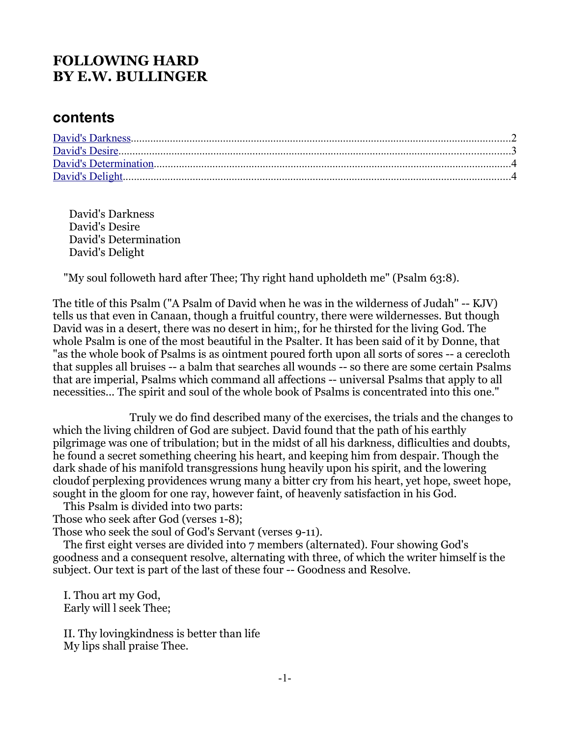# **FOLLOWING HARD BY E.W. BULLINGER**

### **contents**

 David's Darkness David's Desire David's Determination David's Delight

"My soul followeth hard after Thee; Thy right hand upholdeth me" (Psalm 63:8).

The title of this Psalm ("A Psalm of David when he was in the wilderness of Judah" -- KJV) tells us that even in Canaan, though a fruitful country, there were wildernesses. But though David was in a desert, there was no desert in him;, for he thirsted for the living God. The whole Psalm is one of the most beautiful in the Psalter. It has been said of it by Donne, that "as the whole book of Psalms is as ointment poured forth upon all sorts of sores -- a cerecloth that supples all bruises -- a balm that searches all wounds -- so there are some certain Psalms that are imperial, Psalms which command all affections -- universal Psalms that apply to all necessities... The spirit and soul of the whole book of Psalms is concentrated into this one."

 Truly we do find described many of the exercises, the trials and the changes to which the living children of God are subject. David found that the path of his earthly pilgrimage was one of tribulation; but in the midst of all his darkness, difliculties and doubts, he found a secret something cheering his heart, and keeping him from despair. Though the dark shade of his manifold transgressions hung heavily upon his spirit, and the lowering cloudof perplexing providences wrung many a bitter cry from his heart, yet hope, sweet hope, sought in the gloom for one ray, however faint, of heavenly satisfaction in his God.

 This Psalm is divided into two parts: Those who seek after God (verses 1-8);

Those who seek the soul of God's Servant (verses 9-11).

 The first eight verses are divided into 7 members (alternated). Four showing God's goodness and a consequent resolve, alternating with three, of which the writer himself is the subject. Our text is part of the last of these four -- Goodness and Resolve.

 I. Thou art my God, Early will l seek Thee;

 II. Thy lovingkindness is better than life My lips shall praise Thee.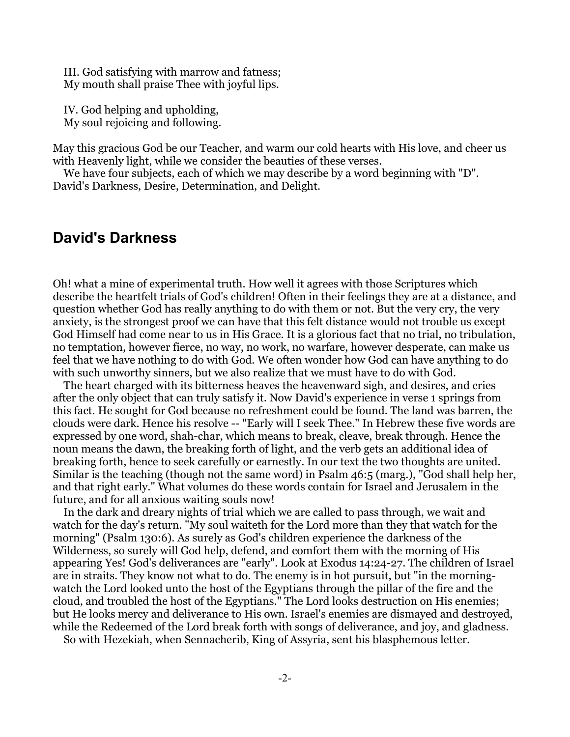III. God satisfying with marrow and fatness; My mouth shall praise Thee with joyful lips.

 IV. God helping and upholding, My soul rejoicing and following.

May this gracious God be our Teacher, and warm our cold hearts with His love, and cheer us with Heavenly light, while we consider the beauties of these verses.

We have four subjects, each of which we may describe by a word beginning with "D". David's Darkness, Desire, Determination, and Delight.

#### <span id="page-1-0"></span>**David's Darkness**

Oh! what a mine of experimental truth. How well it agrees with those Scriptures which describe the heartfelt trials of God's children! Often in their feelings they are at a distance, and question whether God has really anything to do with them or not. But the very cry, the very anxiety, is the strongest proof we can have that this felt distance would not trouble us except God Himself had come near to us in His Grace. It is a glorious fact that no trial, no tribulation, no temptation, however fierce, no way, no work, no warfare, however desperate, can make us feel that we have nothing to do with God. We often wonder how God can have anything to do with such unworthy sinners, but we also realize that we must have to do with God.

 The heart charged with its bitterness heaves the heavenward sigh, and desires, and cries after the only object that can truly satisfy it. Now David's experience in verse 1 springs from this fact. He sought for God because no refreshment could be found. The land was barren, the clouds were dark. Hence his resolve -- "Early will I seek Thee." In Hebrew these five words are expressed by one word, shah-char, which means to break, cleave, break through. Hence the noun means the dawn, the breaking forth of light, and the verb gets an additional idea of breaking forth, hence to seek carefully or earnestly. In our text the two thoughts are united. Similar is the teaching (though not the same word) in Psalm 46:5 (marg.), "God shall help her, and that right early." What volumes do these words contain for Israel and Jerusalem in the future, and for all anxious waiting souls now!

 In the dark and dreary nights of trial which we are called to pass through, we wait and watch for the day's return. "My soul waiteth for the Lord more than they that watch for the morning" (Psalm 130:6). As surely as God's children experience the darkness of the Wilderness, so surely will God help, defend, and comfort them with the morning of His appearing Yes! God's deliverances are "early". Look at Exodus 14:24-27. The children of Israel are in straits. They know not what to do. The enemy is in hot pursuit, but "in the morningwatch the Lord looked unto the host of the Egyptians through the pillar of the fire and the cloud, and troubled the host of the Egyptians." The Lord looks destruction on His enemies; but He looks mercy and deliverance to His own. Israel's enemies are dismayed and destroyed, while the Redeemed of the Lord break forth with songs of deliverance, and joy, and gladness.

So with Hezekiah, when Sennacherib, King of Assyria, sent his blasphemous letter.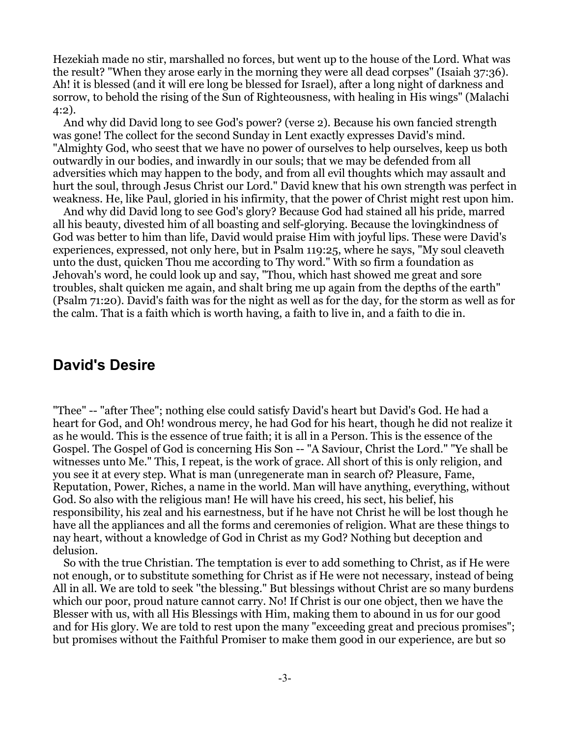Hezekiah made no stir, marshalled no forces, but went up to the house of the Lord. What was the result? "When they arose early in the morning they were all dead corpses" (Isaiah 37:36). Ah! it is blessed (and it will ere long be blessed for Israel), after a long night of darkness and sorrow, to behold the rising of the Sun of Righteousness, with healing in His wings" (Malachi 4:2).

 And why did David long to see God's power? (verse 2). Because his own fancied strength was gone! The collect for the second Sunday in Lent exactly expresses David's mind. "Almighty God, who seest that we have no power of ourselves to help ourselves, keep us both outwardly in our bodies, and inwardly in our souls; that we may be defended from all adversities which may happen to the body, and from all evil thoughts which may assault and hurt the soul, through Jesus Christ our Lord." David knew that his own strength was perfect in weakness. He, like Paul, gloried in his infirmity, that the power of Christ might rest upon him.

 And why did David long to see God's glory? Because God had stained all his pride, marred all his beauty, divested him of all boasting and self-glorying. Because the lovingkindness of God was better to him than life, David would praise Him with joyful lips. These were David's experiences, expressed, not only here, but in Psalm 119:25, where he says, "My soul cleaveth unto the dust, quicken Thou me according to Thy word." With so firm a foundation as Jehovah's word, he could look up and say, "Thou, which hast showed me great and sore troubles, shalt quicken me again, and shalt bring me up again from the depths of the earth" (Psalm 71:20). David's faith was for the night as well as for the day, for the storm as well as for the calm. That is a faith which is worth having, a faith to live in, and a faith to die in.

# <span id="page-2-0"></span>**David's Desire**

"Thee" -- "after Thee"; nothing else could satisfy David's heart but David's God. He had a heart for God, and Oh! wondrous mercy, he had God for his heart, though he did not realize it as he would. This is the essence of true faith; it is all in a Person. This is the essence of the Gospel. The Gospel of God is concerning His Son -- "A Saviour, Christ the Lord." "Ye shall be witnesses unto Me." This, I repeat, is the work of grace. All short of this is only religion, and you see it at every step. What is man (unregenerate man in search of? Pleasure, Fame, Reputation, Power, Riches, a name in the world. Man will have anything, everything, without God. So also with the religious man! He will have his creed, his sect, his belief, his responsibility, his zeal and his earnestness, but if he have not Christ he will be lost though he have all the appliances and all the forms and ceremonies of religion. What are these things to nay heart, without a knowledge of God in Christ as my God? Nothing but deception and delusion.

 So with the true Christian. The temptation is ever to add something to Christ, as if He were not enough, or to substitute something for Christ as if He were not necessary, instead of being All in all. We are told to seek ''the blessing." But blessings without Christ are so many burdens which our poor, proud nature cannot carry. No! If Christ is our one object, then we have the Blesser with us, with all His Blessings with Him, making them to abound in us for our good and for His glory. We are told to rest upon the many "exceeding great and precious promises"; but promises without the Faithful Promiser to make them good in our experience, are but so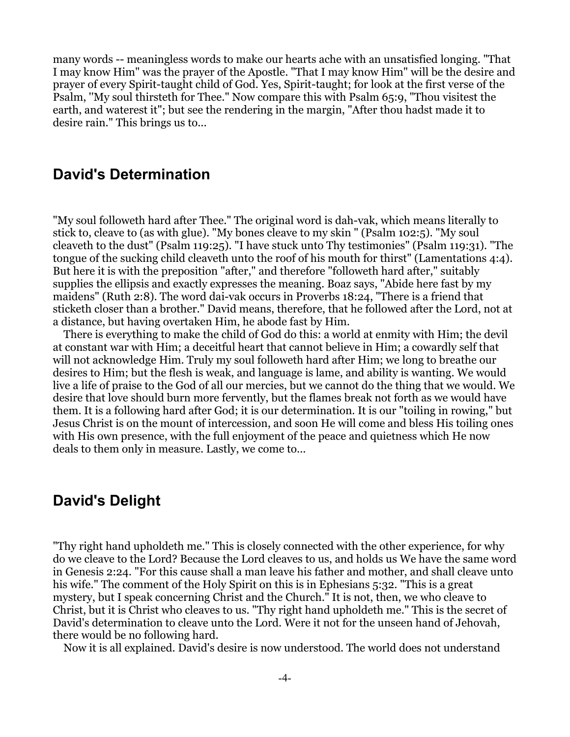many words -- meaningless words to make our hearts ache with an unsatisfied longing. "That I may know Him" was the prayer of the Apostle. "That I may know Him" will be the desire and prayer of every Spirit-taught child of God. Yes, Spirit-taught; for look at the first verse of the Psalm, ''My soul thirsteth for Thee." Now compare this with Psalm 65:9, "Thou visitest the earth, and waterest it"; but see the rendering in the margin, "After thou hadst made it to desire rain." This brings us to...

## <span id="page-3-1"></span>**David's Determination**

"My soul followeth hard after Thee." The original word is dah-vak, which means literally to stick to, cleave to (as with glue). "My bones cleave to my skin " (Psalm 102:5). "My soul cleaveth to the dust" (Psalm 119:25). "I have stuck unto Thy testimonies" (Psalm 119:31). "The tongue of the sucking child cleaveth unto the roof of his mouth for thirst" (Lamentations 4:4). But here it is with the preposition "after," and therefore "followeth hard after," suitably supplies the ellipsis and exactly expresses the meaning. Boaz says, "Abide here fast by my maidens" (Ruth 2:8). The word dai-vak occurs in Proverbs 18:24, "There is a friend that sticketh closer than a brother." David means, therefore, that he followed after the Lord, not at a distance, but having overtaken Him, he abode fast by Him.

 There is everything to make the child of God do this: a world at enmity with Him; the devil at constant war with Him; a deceitful heart that cannot believe in Him; a cowardly self that will not acknowledge Him. Truly my soul followeth hard after Him; we long to breathe our desires to Him; but the flesh is weak, and language is lame, and ability is wanting. We would live a life of praise to the God of all our mercies, but we cannot do the thing that we would. We desire that love should burn more fervently, but the flames break not forth as we would have them. It is a following hard after God; it is our determination. It is our "toiling in rowing," but Jesus Christ is on the mount of intercession, and soon He will come and bless His toiling ones with His own presence, with the full enjoyment of the peace and quietness which He now deals to them only in measure. Lastly, we come to...

### <span id="page-3-0"></span>**David's Delight**

"Thy right hand upholdeth me." This is closely connected with the other experience, for why do we cleave to the Lord? Because the Lord cleaves to us, and holds us We have the same word in Genesis 2:24. "For this cause shall a man leave his father and mother, and shall cleave unto his wife." The comment of the Holy Spirit on this is in Ephesians 5:32. "This is a great mystery, but I speak concerning Christ and the Church." It is not, then, we who cleave to Christ, but it is Christ who cleaves to us. "Thy right hand upholdeth me." This is the secret of David's determination to cleave unto the Lord. Were it not for the unseen hand of Jehovah, there would be no following hard.

Now it is all explained. David's desire is now understood. The world does not understand